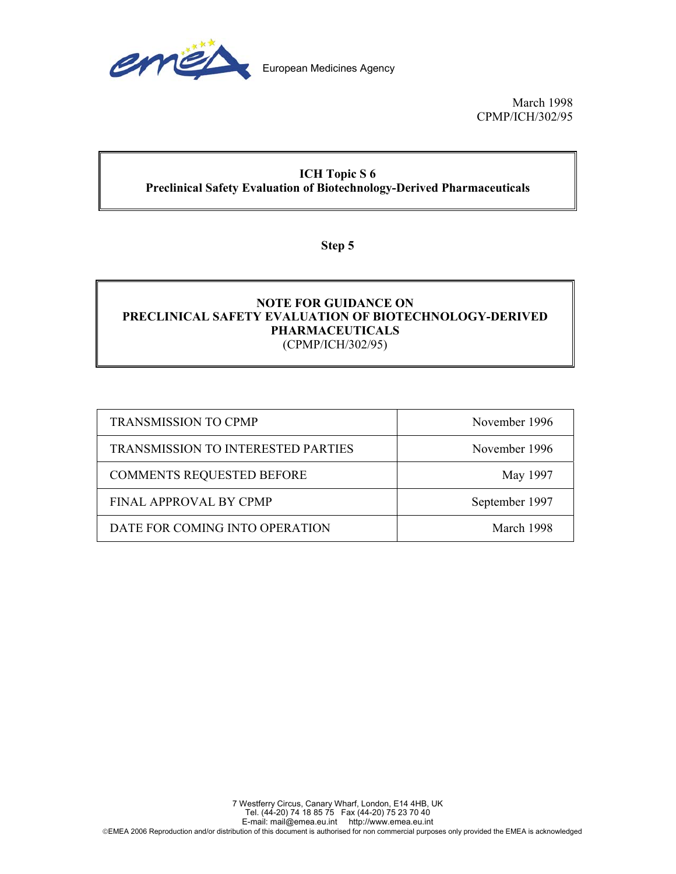

March 1998 CPMP/ICH/302/95

# **ICH Topic S 6 Preclinical Safety Evaluation of Biotechnology-Derived Pharmaceuticals**

**Step 5** 

## **NOTE FOR GUIDANCE ON PRECLINICAL SAFETY EVALUATION OF BIOTECHNOLOGY-DERIVED PHARMACEUTICALS**  (CPMP/ICH/302/95)

| <b>TRANSMISSION TO CPMP</b>        | November 1996  |
|------------------------------------|----------------|
| TRANSMISSION TO INTERESTED PARTIES | November 1996  |
| <b>COMMENTS REQUESTED BEFORE</b>   | May 1997       |
| FINAL APPROVAL BY CPMP             | September 1997 |
| DATE FOR COMING INTO OPERATION     | March 1998     |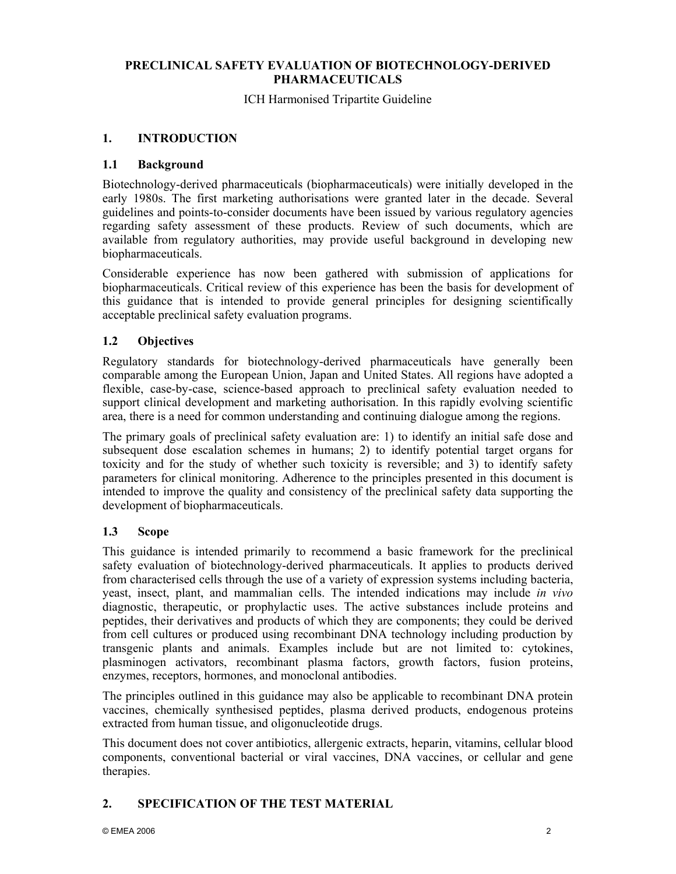### **PRECLINICAL SAFETY EVALUATION OF BIOTECHNOLOGY-DERIVED PHARMACEUTICALS**

ICH Harmonised Tripartite Guideline

## **1. INTRODUCTION**

### **1.1 Background**

Biotechnology-derived pharmaceuticals (biopharmaceuticals) were initially developed in the early 1980s. The first marketing authorisations were granted later in the decade. Several guidelines and points-to-consider documents have been issued by various regulatory agencies regarding safety assessment of these products. Review of such documents, which are available from regulatory authorities, may provide useful background in developing new biopharmaceuticals.

Considerable experience has now been gathered with submission of applications for biopharmaceuticals. Critical review of this experience has been the basis for development of this guidance that is intended to provide general principles for designing scientifically acceptable preclinical safety evaluation programs.

## **1.2 Objectives**

Regulatory standards for biotechnology-derived pharmaceuticals have generally been comparable among the European Union, Japan and United States. All regions have adopted a flexible, case-by-case, science-based approach to preclinical safety evaluation needed to support clinical development and marketing authorisation. In this rapidly evolving scientific area, there is a need for common understanding and continuing dialogue among the regions.

The primary goals of preclinical safety evaluation are: 1) to identify an initial safe dose and subsequent dose escalation schemes in humans; 2) to identify potential target organs for toxicity and for the study of whether such toxicity is reversible; and 3) to identify safety parameters for clinical monitoring. Adherence to the principles presented in this document is intended to improve the quality and consistency of the preclinical safety data supporting the development of biopharmaceuticals.

## **1.3 Scope**

This guidance is intended primarily to recommend a basic framework for the preclinical safety evaluation of biotechnology-derived pharmaceuticals. It applies to products derived from characterised cells through the use of a variety of expression systems including bacteria, yeast, insect, plant, and mammalian cells. The intended indications may include *in vivo* diagnostic, therapeutic, or prophylactic uses. The active substances include proteins and peptides, their derivatives and products of which they are components; they could be derived from cell cultures or produced using recombinant DNA technology including production by transgenic plants and animals. Examples include but are not limited to: cytokines, plasminogen activators, recombinant plasma factors, growth factors, fusion proteins, enzymes, receptors, hormones, and monoclonal antibodies.

The principles outlined in this guidance may also be applicable to recombinant DNA protein vaccines, chemically synthesised peptides, plasma derived products, endogenous proteins extracted from human tissue, and oligonucleotide drugs.

This document does not cover antibiotics, allergenic extracts, heparin, vitamins, cellular blood components, conventional bacterial or viral vaccines, DNA vaccines, or cellular and gene therapies.

## **2. SPECIFICATION OF THE TEST MATERIAL**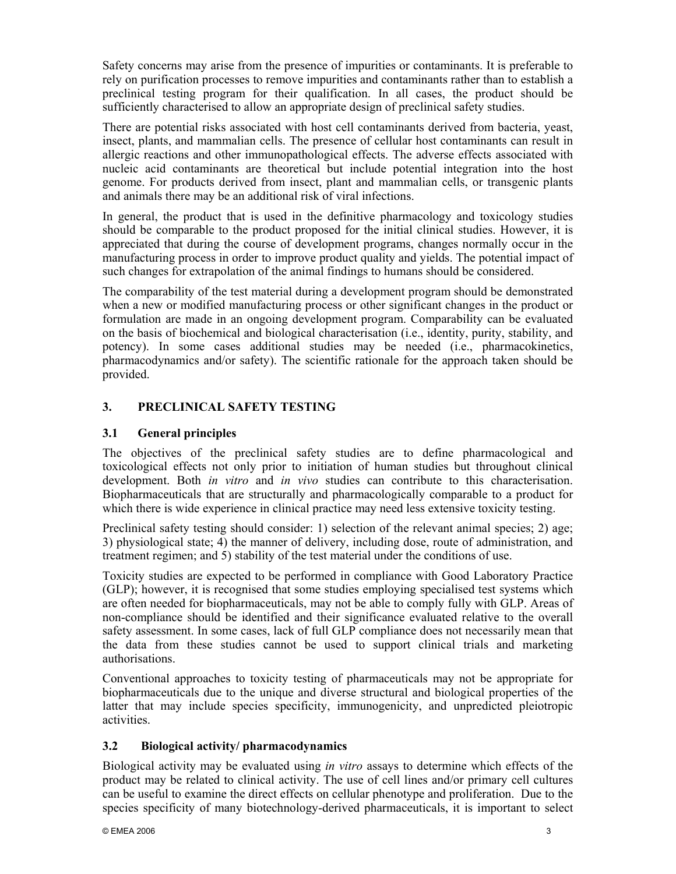Safety concerns may arise from the presence of impurities or contaminants. It is preferable to rely on purification processes to remove impurities and contaminants rather than to establish a preclinical testing program for their qualification. In all cases, the product should be sufficiently characterised to allow an appropriate design of preclinical safety studies.

There are potential risks associated with host cell contaminants derived from bacteria, yeast, insect, plants, and mammalian cells. The presence of cellular host contaminants can result in allergic reactions and other immunopathological effects. The adverse effects associated with nucleic acid contaminants are theoretical but include potential integration into the host genome. For products derived from insect, plant and mammalian cells, or transgenic plants and animals there may be an additional risk of viral infections.

In general, the product that is used in the definitive pharmacology and toxicology studies should be comparable to the product proposed for the initial clinical studies. However, it is appreciated that during the course of development programs, changes normally occur in the manufacturing process in order to improve product quality and yields. The potential impact of such changes for extrapolation of the animal findings to humans should be considered.

The comparability of the test material during a development program should be demonstrated when a new or modified manufacturing process or other significant changes in the product or formulation are made in an ongoing development program. Comparability can be evaluated on the basis of biochemical and biological characterisation (i.e., identity, purity, stability, and potency). In some cases additional studies may be needed (i.e., pharmacokinetics, pharmacodynamics and/or safety). The scientific rationale for the approach taken should be provided.

# **3. PRECLINICAL SAFETY TESTING**

## **3.1 General principles**

The objectives of the preclinical safety studies are to define pharmacological and toxicological effects not only prior to initiation of human studies but throughout clinical development. Both *in vitro* and *in vivo* studies can contribute to this characterisation. Biopharmaceuticals that are structurally and pharmacologically comparable to a product for which there is wide experience in clinical practice may need less extensive toxicity testing.

Preclinical safety testing should consider: 1) selection of the relevant animal species; 2) age; 3) physiological state; 4) the manner of delivery, including dose, route of administration, and treatment regimen; and 5) stability of the test material under the conditions of use.

Toxicity studies are expected to be performed in compliance with Good Laboratory Practice (GLP); however, it is recognised that some studies employing specialised test systems which are often needed for biopharmaceuticals, may not be able to comply fully with GLP. Areas of non-compliance should be identified and their significance evaluated relative to the overall safety assessment. In some cases, lack of full GLP compliance does not necessarily mean that the data from these studies cannot be used to support clinical trials and marketing authorisations.

Conventional approaches to toxicity testing of pharmaceuticals may not be appropriate for biopharmaceuticals due to the unique and diverse structural and biological properties of the latter that may include species specificity, immunogenicity, and unpredicted pleiotropic activities.

# **3.2 Biological activity/ pharmacodynamics**

Biological activity may be evaluated using *in vitro* assays to determine which effects of the product may be related to clinical activity. The use of cell lines and/or primary cell cultures can be useful to examine the direct effects on cellular phenotype and proliferation. Due to the species specificity of many biotechnology-derived pharmaceuticals, it is important to select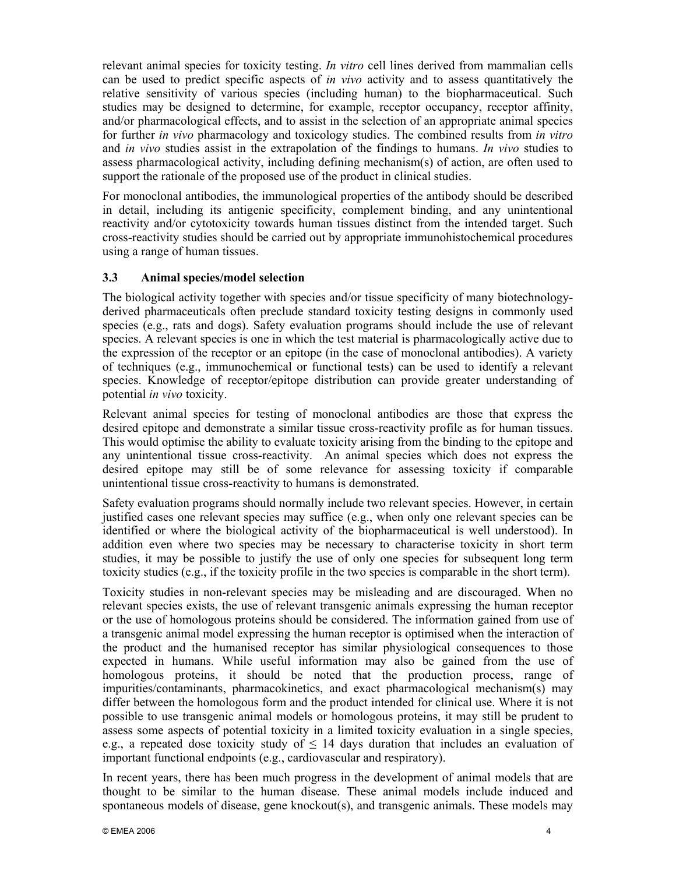relevant animal species for toxicity testing. *In vitro* cell lines derived from mammalian cells can be used to predict specific aspects of *in vivo* activity and to assess quantitatively the relative sensitivity of various species (including human) to the biopharmaceutical. Such studies may be designed to determine, for example, receptor occupancy, receptor affinity, and/or pharmacological effects, and to assist in the selection of an appropriate animal species for further *in vivo* pharmacology and toxicology studies. The combined results from *in vitro*  and *in vivo* studies assist in the extrapolation of the findings to humans. *In vivo* studies to assess pharmacological activity, including defining mechanism(s) of action, are often used to support the rationale of the proposed use of the product in clinical studies.

For monoclonal antibodies, the immunological properties of the antibody should be described in detail, including its antigenic specificity, complement binding, and any unintentional reactivity and/or cytotoxicity towards human tissues distinct from the intended target. Such cross-reactivity studies should be carried out by appropriate immunohistochemical procedures using a range of human tissues.

## **3.3 Animal species/model selection**

The biological activity together with species and/or tissue specificity of many biotechnologyderived pharmaceuticals often preclude standard toxicity testing designs in commonly used species (e.g., rats and dogs). Safety evaluation programs should include the use of relevant species. A relevant species is one in which the test material is pharmacologically active due to the expression of the receptor or an epitope (in the case of monoclonal antibodies). A variety of techniques (e.g., immunochemical or functional tests) can be used to identify a relevant species. Knowledge of receptor/epitope distribution can provide greater understanding of potential *in vivo* toxicity.

Relevant animal species for testing of monoclonal antibodies are those that express the desired epitope and demonstrate a similar tissue cross-reactivity profile as for human tissues. This would optimise the ability to evaluate toxicity arising from the binding to the epitope and any unintentional tissue cross-reactivity. An animal species which does not express the desired epitope may still be of some relevance for assessing toxicity if comparable unintentional tissue cross-reactivity to humans is demonstrated.

Safety evaluation programs should normally include two relevant species. However, in certain justified cases one relevant species may suffice (e.g., when only one relevant species can be identified or where the biological activity of the biopharmaceutical is well understood). In addition even where two species may be necessary to characterise toxicity in short term studies, it may be possible to justify the use of only one species for subsequent long term toxicity studies (e.g., if the toxicity profile in the two species is comparable in the short term).

Toxicity studies in non-relevant species may be misleading and are discouraged. When no relevant species exists, the use of relevant transgenic animals expressing the human receptor or the use of homologous proteins should be considered. The information gained from use of a transgenic animal model expressing the human receptor is optimised when the interaction of the product and the humanised receptor has similar physiological consequences to those expected in humans. While useful information may also be gained from the use of homologous proteins, it should be noted that the production process, range of impurities/contaminants, pharmacokinetics, and exact pharmacological mechanism(s) may differ between the homologous form and the product intended for clinical use. Where it is not possible to use transgenic animal models or homologous proteins, it may still be prudent to assess some aspects of potential toxicity in a limited toxicity evaluation in a single species, e.g., a repeated dose toxicity study of  $\leq$  14 days duration that includes an evaluation of important functional endpoints (e.g., cardiovascular and respiratory).

In recent years, there has been much progress in the development of animal models that are thought to be similar to the human disease. These animal models include induced and spontaneous models of disease, gene knockout(s), and transgenic animals. These models may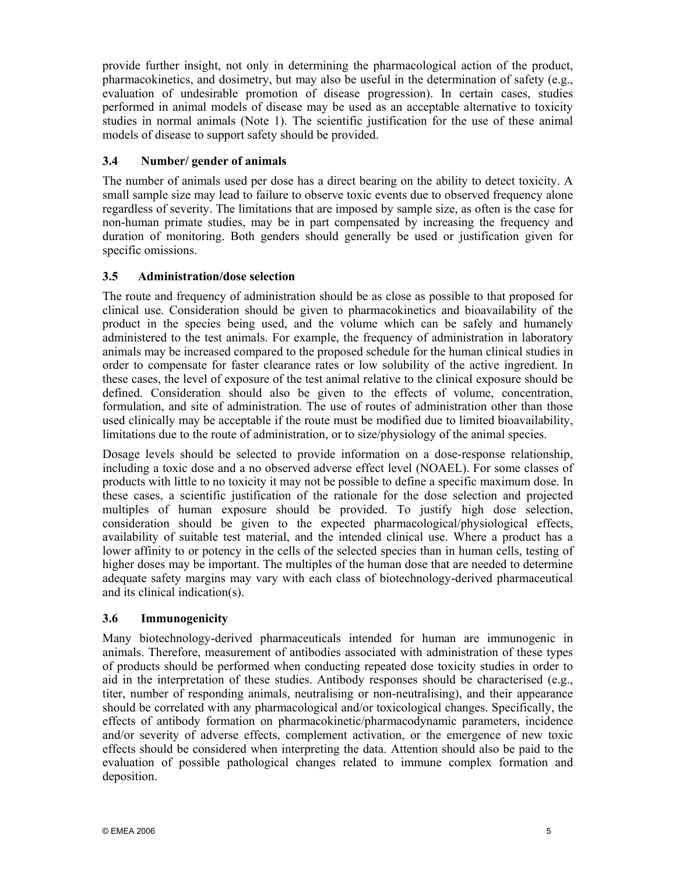provide further insight, not only in determining the pharmacological action of the product, pharmacokinetics, and dosimetry, but may also be useful in the determination of safety (e.g., evaluation of undesirable promotion of disease progression). In certain cases, studies performed in animal models of disease may be used as an acceptable alternative to toxicity studies in normal animals (Note 1). The scientific justification for the use of these animal models of disease to support safety should be provided.

## **3.4 Number/ gender of animals**

The number of animals used per dose has a direct bearing on the ability to detect toxicity. A small sample size may lead to failure to observe toxic events due to observed frequency alone regardless of severity. The limitations that are imposed by sample size, as often is the case for non-human primate studies, may be in part compensated by increasing the frequency and duration of monitoring. Both genders should generally be used or justification given for specific omissions.

## **3.5 Administration/dose selection**

The route and frequency of administration should be as close as possible to that proposed for clinical use. Consideration should be given to pharmacokinetics and bioavailability of the product in the species being used, and the volume which can be safely and humanely administered to the test animals. For example, the frequency of administration in laboratory animals may be increased compared to the proposed schedule for the human clinical studies in order to compensate for faster clearance rates or low solubility of the active ingredient. In these cases, the level of exposure of the test animal relative to the clinical exposure should be defined. Consideration should also be given to the effects of volume, concentration, formulation, and site of administration. The use of routes of administration other than those used clinically may be acceptable if the route must be modified due to limited bioavailability, limitations due to the route of administration, or to size/physiology of the animal species.

Dosage levels should be selected to provide information on a dose-response relationship, including a toxic dose and a no observed adverse effect level (NOAEL). For some classes of products with little to no toxicity it may not be possible to define a specific maximum dose. In these cases, a scientific justification of the rationale for the dose selection and projected multiples of human exposure should be provided. To justify high dose selection, consideration should be given to the expected pharmacological/physiological effects, availability of suitable test material, and the intended clinical use. Where a product has a lower affinity to or potency in the cells of the selected species than in human cells, testing of higher doses may be important. The multiples of the human dose that are needed to determine adequate safety margins may vary with each class of biotechnology-derived pharmaceutical and its clinical indication(s).

# **3.6 Immunogenicity**

Many biotechnology-derived pharmaceuticals intended for human are immunogenic in animals. Therefore, measurement of antibodies associated with administration of these types of products should be performed when conducting repeated dose toxicity studies in order to aid in the interpretation of these studies. Antibody responses should be characterised (e.g., titer, number of responding animals, neutralising or non-neutralising), and their appearance should be correlated with any pharmacological and/or toxicological changes. Specifically, the effects of antibody formation on pharmacokinetic/pharmacodynamic parameters, incidence and/or severity of adverse effects, complement activation, or the emergence of new toxic effects should be considered when interpreting the data. Attention should also be paid to the evaluation of possible pathological changes related to immune complex formation and deposition.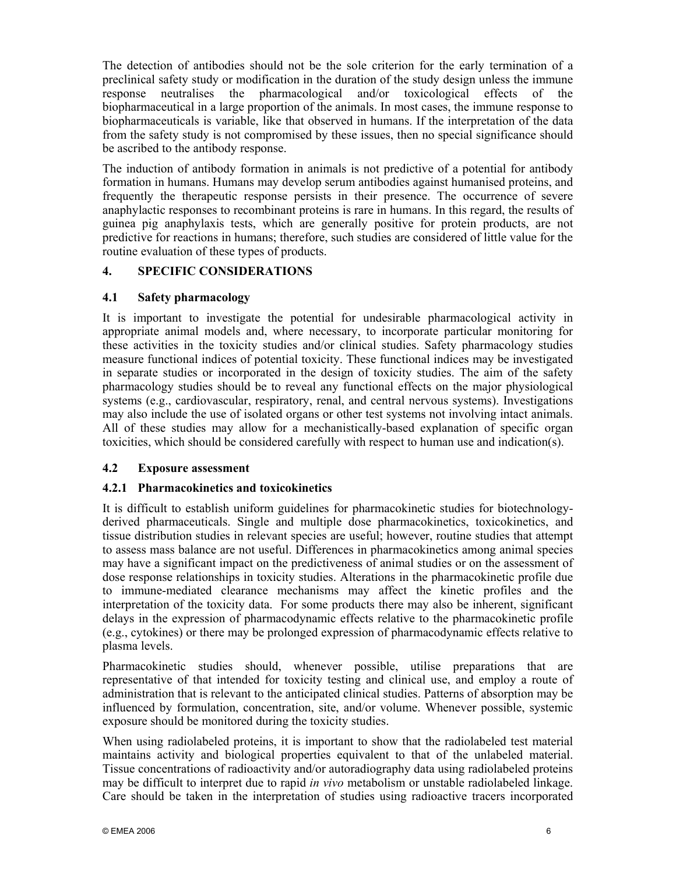The detection of antibodies should not be the sole criterion for the early termination of a preclinical safety study or modification in the duration of the study design unless the immune response neutralises the pharmacological and/or toxicological effects of the biopharmaceutical in a large proportion of the animals. In most cases, the immune response to biopharmaceuticals is variable, like that observed in humans. If the interpretation of the data from the safety study is not compromised by these issues, then no special significance should be ascribed to the antibody response.

The induction of antibody formation in animals is not predictive of a potential for antibody formation in humans. Humans may develop serum antibodies against humanised proteins, and frequently the therapeutic response persists in their presence. The occurrence of severe anaphylactic responses to recombinant proteins is rare in humans. In this regard, the results of guinea pig anaphylaxis tests, which are generally positive for protein products, are not predictive for reactions in humans; therefore, such studies are considered of little value for the routine evaluation of these types of products.

## **4. SPECIFIC CONSIDERATIONS**

## **4.1 Safety pharmacology**

It is important to investigate the potential for undesirable pharmacological activity in appropriate animal models and, where necessary, to incorporate particular monitoring for these activities in the toxicity studies and/or clinical studies. Safety pharmacology studies measure functional indices of potential toxicity. These functional indices may be investigated in separate studies or incorporated in the design of toxicity studies. The aim of the safety pharmacology studies should be to reveal any functional effects on the major physiological systems (e.g., cardiovascular, respiratory, renal, and central nervous systems). Investigations may also include the use of isolated organs or other test systems not involving intact animals. All of these studies may allow for a mechanistically-based explanation of specific organ toxicities, which should be considered carefully with respect to human use and indication(s).

#### **4.2 Exposure assessment**

#### **4.2.1 Pharmacokinetics and toxicokinetics**

It is difficult to establish uniform guidelines for pharmacokinetic studies for biotechnologyderived pharmaceuticals. Single and multiple dose pharmacokinetics, toxicokinetics, and tissue distribution studies in relevant species are useful; however, routine studies that attempt to assess mass balance are not useful. Differences in pharmacokinetics among animal species may have a significant impact on the predictiveness of animal studies or on the assessment of dose response relationships in toxicity studies. Alterations in the pharmacokinetic profile due to immune-mediated clearance mechanisms may affect the kinetic profiles and the interpretation of the toxicity data. For some products there may also be inherent, significant delays in the expression of pharmacodynamic effects relative to the pharmacokinetic profile (e.g., cytokines) or there may be prolonged expression of pharmacodynamic effects relative to plasma levels.

Pharmacokinetic studies should, whenever possible, utilise preparations that are representative of that intended for toxicity testing and clinical use, and employ a route of administration that is relevant to the anticipated clinical studies. Patterns of absorption may be influenced by formulation, concentration, site, and/or volume. Whenever possible, systemic exposure should be monitored during the toxicity studies.

When using radiolabeled proteins, it is important to show that the radiolabeled test material maintains activity and biological properties equivalent to that of the unlabeled material. Tissue concentrations of radioactivity and/or autoradiography data using radiolabeled proteins may be difficult to interpret due to rapid *in vivo* metabolism or unstable radiolabeled linkage. Care should be taken in the interpretation of studies using radioactive tracers incorporated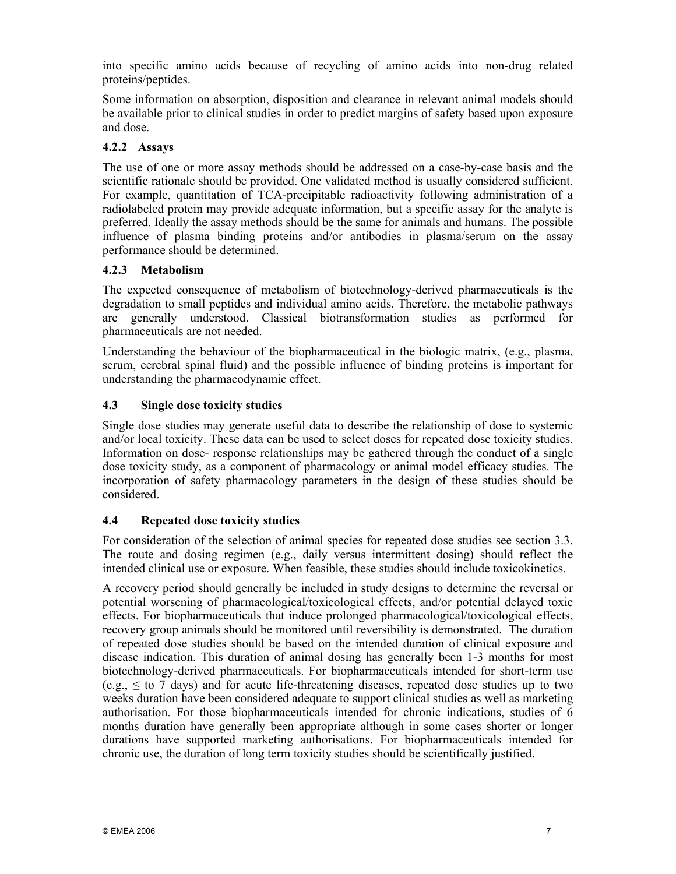into specific amino acids because of recycling of amino acids into non-drug related proteins/peptides.

Some information on absorption, disposition and clearance in relevant animal models should be available prior to clinical studies in order to predict margins of safety based upon exposure and dose.

## **4.2.2 Assays**

The use of one or more assay methods should be addressed on a case-by-case basis and the scientific rationale should be provided. One validated method is usually considered sufficient. For example, quantitation of TCA-precipitable radioactivity following administration of a radiolabeled protein may provide adequate information, but a specific assay for the analyte is preferred. Ideally the assay methods should be the same for animals and humans. The possible influence of plasma binding proteins and/or antibodies in plasma/serum on the assay performance should be determined.

## **4.2.3 Metabolism**

The expected consequence of metabolism of biotechnology-derived pharmaceuticals is the degradation to small peptides and individual amino acids. Therefore, the metabolic pathways are generally understood. Classical biotransformation studies as performed for pharmaceuticals are not needed.

Understanding the behaviour of the biopharmaceutical in the biologic matrix, (e.g., plasma, serum, cerebral spinal fluid) and the possible influence of binding proteins is important for understanding the pharmacodynamic effect.

## **4.3 Single dose toxicity studies**

Single dose studies may generate useful data to describe the relationship of dose to systemic and/or local toxicity. These data can be used to select doses for repeated dose toxicity studies. Information on dose- response relationships may be gathered through the conduct of a single dose toxicity study, as a component of pharmacology or animal model efficacy studies. The incorporation of safety pharmacology parameters in the design of these studies should be considered.

#### **4.4 Repeated dose toxicity studies**

For consideration of the selection of animal species for repeated dose studies see section 3.3. The route and dosing regimen (e.g., daily versus intermittent dosing) should reflect the intended clinical use or exposure. When feasible, these studies should include toxicokinetics.

A recovery period should generally be included in study designs to determine the reversal or potential worsening of pharmacological/toxicological effects, and/or potential delayed toxic effects. For biopharmaceuticals that induce prolonged pharmacological/toxicological effects, recovery group animals should be monitored until reversibility is demonstrated. The duration of repeated dose studies should be based on the intended duration of clinical exposure and disease indication. This duration of animal dosing has generally been 1-3 months for most biotechnology-derived pharmaceuticals. For biopharmaceuticals intended for short-term use  $(e.g., \leq to 7 days)$  and for acute life-threatening diseases, repeated dose studies up to two weeks duration have been considered adequate to support clinical studies as well as marketing authorisation. For those biopharmaceuticals intended for chronic indications, studies of 6 months duration have generally been appropriate although in some cases shorter or longer durations have supported marketing authorisations. For biopharmaceuticals intended for chronic use, the duration of long term toxicity studies should be scientifically justified.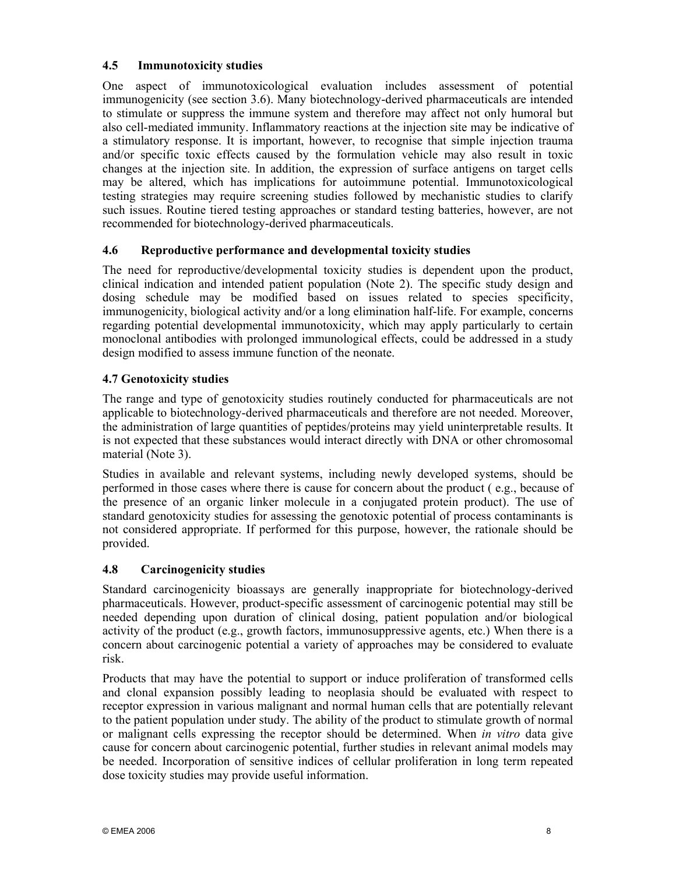## **4.5 Immunotoxicity studies**

One aspect of immunotoxicological evaluation includes assessment of potential immunogenicity (see section 3.6). Many biotechnology-derived pharmaceuticals are intended to stimulate or suppress the immune system and therefore may affect not only humoral but also cell-mediated immunity. Inflammatory reactions at the injection site may be indicative of a stimulatory response. It is important, however, to recognise that simple injection trauma and/or specific toxic effects caused by the formulation vehicle may also result in toxic changes at the injection site. In addition, the expression of surface antigens on target cells may be altered, which has implications for autoimmune potential. Immunotoxicological testing strategies may require screening studies followed by mechanistic studies to clarify such issues. Routine tiered testing approaches or standard testing batteries, however, are not recommended for biotechnology-derived pharmaceuticals.

## **4.6 Reproductive performance and developmental toxicity studies**

The need for reproductive/developmental toxicity studies is dependent upon the product, clinical indication and intended patient population (Note 2). The specific study design and dosing schedule may be modified based on issues related to species specificity, immunogenicity, biological activity and/or a long elimination half-life. For example, concerns regarding potential developmental immunotoxicity, which may apply particularly to certain monoclonal antibodies with prolonged immunological effects, could be addressed in a study design modified to assess immune function of the neonate.

## **4.7 Genotoxicity studies**

The range and type of genotoxicity studies routinely conducted for pharmaceuticals are not applicable to biotechnology-derived pharmaceuticals and therefore are not needed. Moreover, the administration of large quantities of peptides/proteins may yield uninterpretable results. It is not expected that these substances would interact directly with DNA or other chromosomal material (Note 3).

Studies in available and relevant systems, including newly developed systems, should be performed in those cases where there is cause for concern about the product ( e.g., because of the presence of an organic linker molecule in a conjugated protein product). The use of standard genotoxicity studies for assessing the genotoxic potential of process contaminants is not considered appropriate. If performed for this purpose, however, the rationale should be provided.

## **4.8 Carcinogenicity studies**

Standard carcinogenicity bioassays are generally inappropriate for biotechnology-derived pharmaceuticals. However, product-specific assessment of carcinogenic potential may still be needed depending upon duration of clinical dosing, patient population and/or biological activity of the product (e.g., growth factors, immunosuppressive agents, etc.) When there is a concern about carcinogenic potential a variety of approaches may be considered to evaluate risk.

Products that may have the potential to support or induce proliferation of transformed cells and clonal expansion possibly leading to neoplasia should be evaluated with respect to receptor expression in various malignant and normal human cells that are potentially relevant to the patient population under study. The ability of the product to stimulate growth of normal or malignant cells expressing the receptor should be determined. When *in vitro* data give cause for concern about carcinogenic potential, further studies in relevant animal models may be needed. Incorporation of sensitive indices of cellular proliferation in long term repeated dose toxicity studies may provide useful information.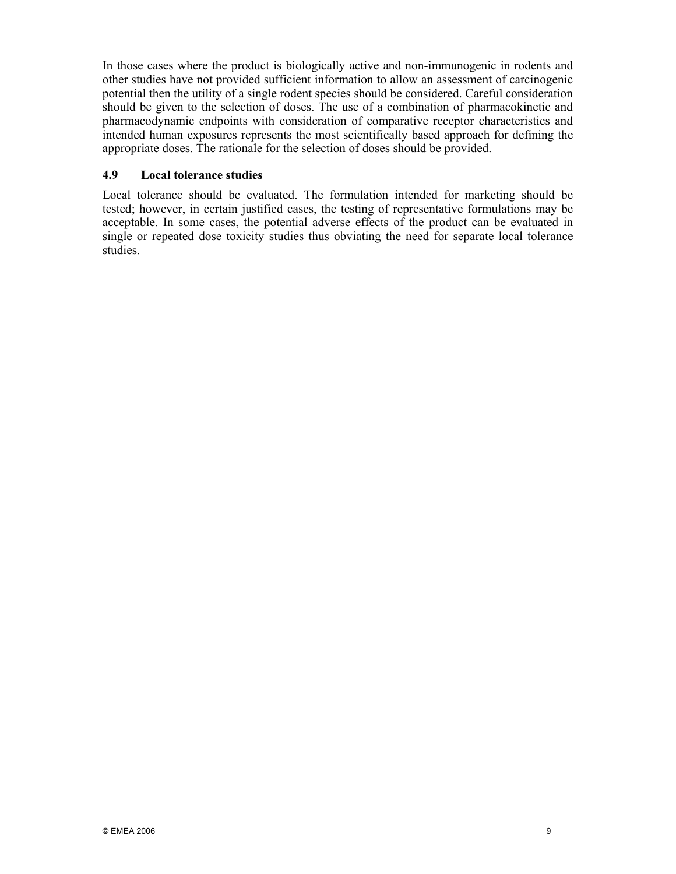In those cases where the product is biologically active and non-immunogenic in rodents and other studies have not provided sufficient information to allow an assessment of carcinogenic potential then the utility of a single rodent species should be considered. Careful consideration should be given to the selection of doses. The use of a combination of pharmacokinetic and pharmacodynamic endpoints with consideration of comparative receptor characteristics and intended human exposures represents the most scientifically based approach for defining the appropriate doses. The rationale for the selection of doses should be provided.

## **4.9 Local tolerance studies**

Local tolerance should be evaluated. The formulation intended for marketing should be tested; however, in certain justified cases, the testing of representative formulations may be acceptable. In some cases, the potential adverse effects of the product can be evaluated in single or repeated dose toxicity studies thus obviating the need for separate local tolerance studies.